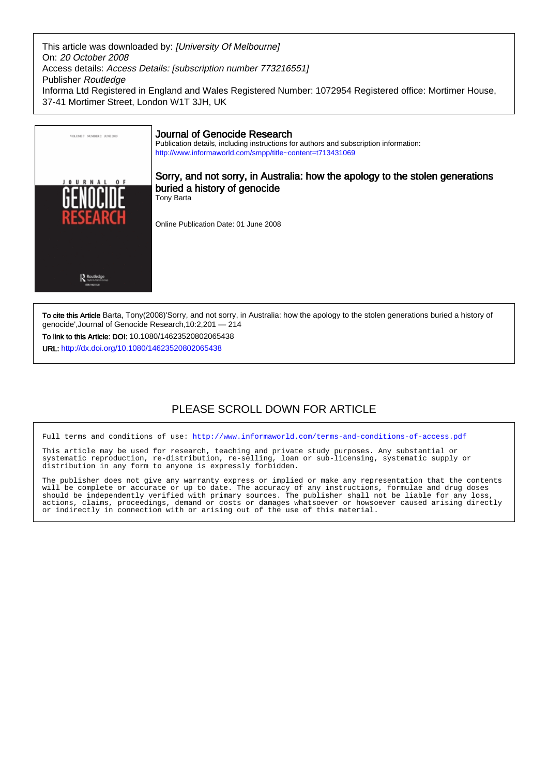This article was downloaded by: [University Of Melbourne] On: 20 October 2008 Access details: Access Details: [subscription number 773216551] Publisher Routledge Informa Ltd Registered in England and Wales Registered Number: 1072954 Registered office: Mortimer House, 37-41 Mortimer Street, London W1T 3JH, UK



To cite this Article Barta, Tony(2008)'Sorry, and not sorry, in Australia: how the apology to the stolen generations buried a history of genocide',Journal of Genocide Research,10:2,201 — 214 To link to this Article: DOI: 10.1080/14623520802065438

URL: <http://dx.doi.org/10.1080/14623520802065438>

## PLEASE SCROLL DOWN FOR ARTICLE

Full terms and conditions of use:<http://www.informaworld.com/terms-and-conditions-of-access.pdf>

This article may be used for research, teaching and private study purposes. Any substantial or systematic reproduction, re-distribution, re-selling, loan or sub-licensing, systematic supply or distribution in any form to anyone is expressly forbidden.

The publisher does not give any warranty express or implied or make any representation that the contents will be complete or accurate or up to date. The accuracy of any instructions, formulae and drug doses should be independently verified with primary sources. The publisher shall not be liable for any loss, actions, claims, proceedings, demand or costs or damages whatsoever or howsoever caused arising directly or indirectly in connection with or arising out of the use of this material.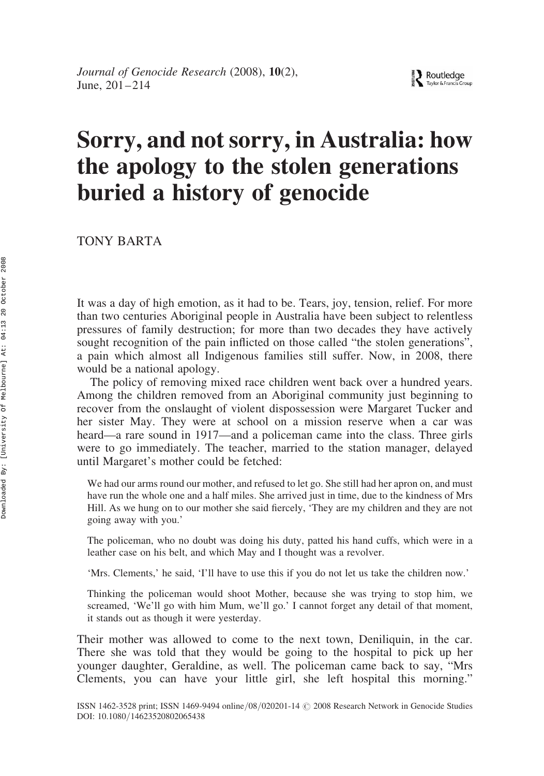# Sorry, and not sorry, in Australia: how the apology to the stolen generations buried a history of genocide

 $\sum_{\text{Taylor A Francis Group}}$ 

TONY BARTA

It was a day of high emotion, as it had to be. Tears, joy, tension, relief. For more than two centuries Aboriginal people in Australia have been subject to relentless pressures of family destruction; for more than two decades they have actively sought recognition of the pain inflicted on those called "the stolen generations", a pain which almost all Indigenous families still suffer. Now, in 2008, there would be a national apology.

The policy of removing mixed race children went back over a hundred years. Among the children removed from an Aboriginal community just beginning to recover from the onslaught of violent dispossession were Margaret Tucker and her sister May. They were at school on a mission reserve when a car was heard—a rare sound in 1917—and a policeman came into the class. Three girls were to go immediately. The teacher, married to the station manager, delayed until Margaret's mother could be fetched:

We had our arms round our mother, and refused to let go. She still had her apron on, and must have run the whole one and a half miles. She arrived just in time, due to the kindness of Mrs Hill. As we hung on to our mother she said fiercely, 'They are my children and they are not going away with you.'

The policeman, who no doubt was doing his duty, patted his hand cuffs, which were in a leather case on his belt, and which May and I thought was a revolver.

'Mrs. Clements,' he said, 'I'll have to use this if you do not let us take the children now.'

Thinking the policeman would shoot Mother, because she was trying to stop him, we screamed, 'We'll go with him Mum, we'll go.' I cannot forget any detail of that moment, it stands out as though it were yesterday.

Their mother was allowed to come to the next town, Deniliquin, in the car. There she was told that they would be going to the hospital to pick up her younger daughter, Geraldine, as well. The policeman came back to say, "Mrs Clements, you can have your little girl, she left hospital this morning."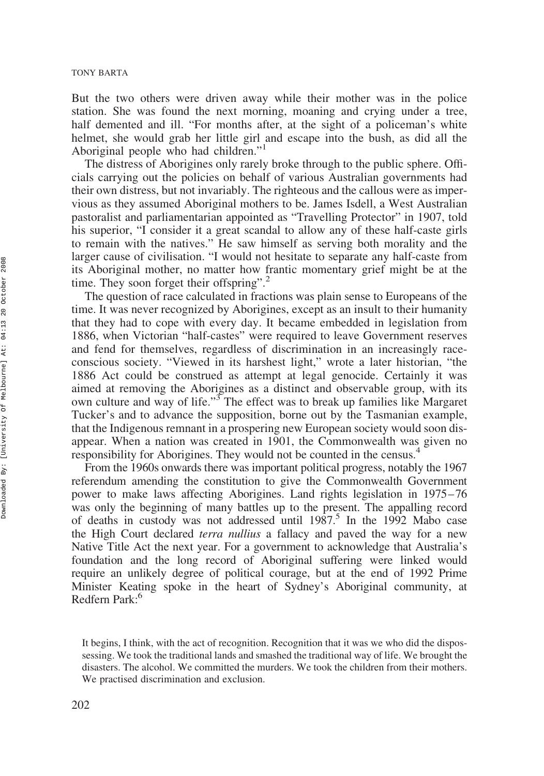TONY BARTA

But the two others were driven away while their mother was in the police station. She was found the next morning, moaning and crying under a tree, half demented and ill. "For months after, at the sight of a policeman's white helmet, she would grab her little girl and escape into the bush, as did all the Aboriginal people who had children."1

The distress of Aborigines only rarely broke through to the public sphere. Officials carrying out the policies on behalf of various Australian governments had their own distress, but not invariably. The righteous and the callous were as impervious as they assumed Aboriginal mothers to be. James Isdell, a West Australian pastoralist and parliamentarian appointed as "Travelling Protector" in 1907, told his superior, "I consider it a great scandal to allow any of these half-caste girls to remain with the natives." He saw himself as serving both morality and the larger cause of civilisation. "I would not hesitate to separate any half-caste from its Aboriginal mother, no matter how frantic momentary grief might be at the time. They soon forget their offspring".<sup>2</sup>

The question of race calculated in fractions was plain sense to Europeans of the time. It was never recognized by Aborigines, except as an insult to their humanity that they had to cope with every day. It became embedded in legislation from 1886, when Victorian "half-castes" were required to leave Government reserves and fend for themselves, regardless of discrimination in an increasingly raceconscious society. "Viewed in its harshest light," wrote a later historian, "the 1886 Act could be construed as attempt at legal genocide. Certainly it was aimed at removing the Aborigines as a distinct and observable group, with its own culture and way of life."3 The effect was to break up families like Margaret Tucker's and to advance the supposition, borne out by the Tasmanian example, that the Indigenous remnant in a prospering new European society would soon disappear. When a nation was created in 1901, the Commonwealth was given no responsibility for Aborigines. They would not be counted in the census.4

From the 1960s onwards there was important political progress, notably the 1967 referendum amending the constitution to give the Commonwealth Government power to make laws affecting Aborigines. Land rights legislation in 1975–76 was only the beginning of many battles up to the present. The appalling record of deaths in custody was not addressed until 1987.<sup>5</sup> In the 1992 Mabo case the High Court declared terra nullius a fallacy and paved the way for a new Native Title Act the next year. For a government to acknowledge that Australia's foundation and the long record of Aboriginal suffering were linked would require an unlikely degree of political courage, but at the end of 1992 Prime Minister Keating spoke in the heart of Sydney's Aboriginal community, at Redfern Park:<sup>6</sup>

It begins, I think, with the act of recognition. Recognition that it was we who did the dispossessing. We took the traditional lands and smashed the traditional way of life. We brought the disasters. The alcohol. We committed the murders. We took the children from their mothers. We practised discrimination and exclusion.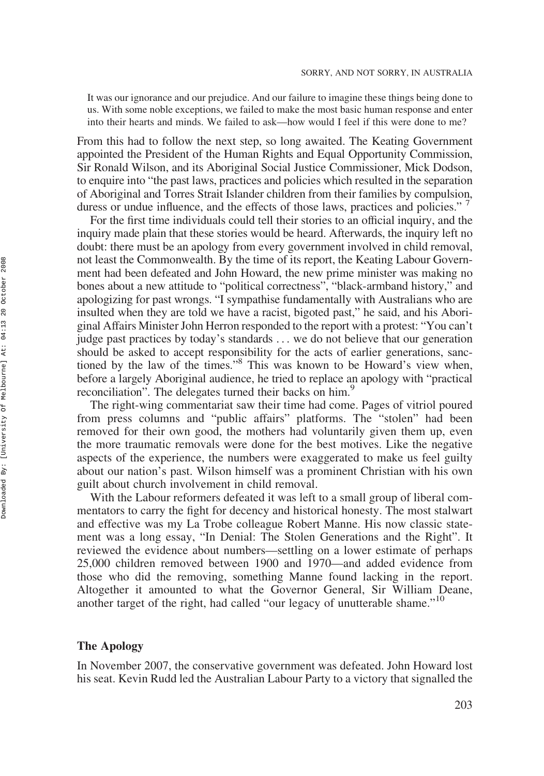It was our ignorance and our prejudice. And our failure to imagine these things being done to us. With some noble exceptions, we failed to make the most basic human response and enter into their hearts and minds. We failed to ask—how would I feel if this were done to me?

From this had to follow the next step, so long awaited. The Keating Government appointed the President of the Human Rights and Equal Opportunity Commission, Sir Ronald Wilson, and its Aboriginal Social Justice Commissioner, Mick Dodson, to enquire into "the past laws, practices and policies which resulted in the separation of Aboriginal and Torres Strait Islander children from their families by compulsion, duress or undue influence, and the effects of those laws, practices and policies."

For the first time individuals could tell their stories to an official inquiry, and the inquiry made plain that these stories would be heard. Afterwards, the inquiry left no doubt: there must be an apology from every government involved in child removal, not least the Commonwealth. By the time of its report, the Keating Labour Government had been defeated and John Howard, the new prime minister was making no bones about a new attitude to "political correctness", "black-armband history," and apologizing for past wrongs. "I sympathise fundamentally with Australians who are insulted when they are told we have a racist, bigoted past," he said, and his Aboriginal Affairs Minister John Herron responded to the report with a protest: "You can't judge past practices by today's standards ... we do not believe that our generation should be asked to accept responsibility for the acts of earlier generations, sanctioned by the law of the times."8 This was known to be Howard's view when, before a largely Aboriginal audience, he tried to replace an apology with "practical reconciliation". The delegates turned their backs on him.<sup>9</sup>

The right-wing commentariat saw their time had come. Pages of vitriol poured from press columns and "public affairs" platforms. The "stolen" had been removed for their own good, the mothers had voluntarily given them up, even the more traumatic removals were done for the best motives. Like the negative aspects of the experience, the numbers were exaggerated to make us feel guilty about our nation's past. Wilson himself was a prominent Christian with his own guilt about church involvement in child removal.

With the Labour reformers defeated it was left to a small group of liberal commentators to carry the fight for decency and historical honesty. The most stalwart and effective was my La Trobe colleague Robert Manne. His now classic statement was a long essay, "In Denial: The Stolen Generations and the Right". It reviewed the evidence about numbers—settling on a lower estimate of perhaps 25,000 children removed between 1900 and 1970—and added evidence from those who did the removing, something Manne found lacking in the report. Altogether it amounted to what the Governor General, Sir William Deane, another target of the right, had called "our legacy of unutterable shame."<sup>10</sup>

#### The Apology

In November 2007, the conservative government was defeated. John Howard lost his seat. Kevin Rudd led the Australian Labour Party to a victory that signalled the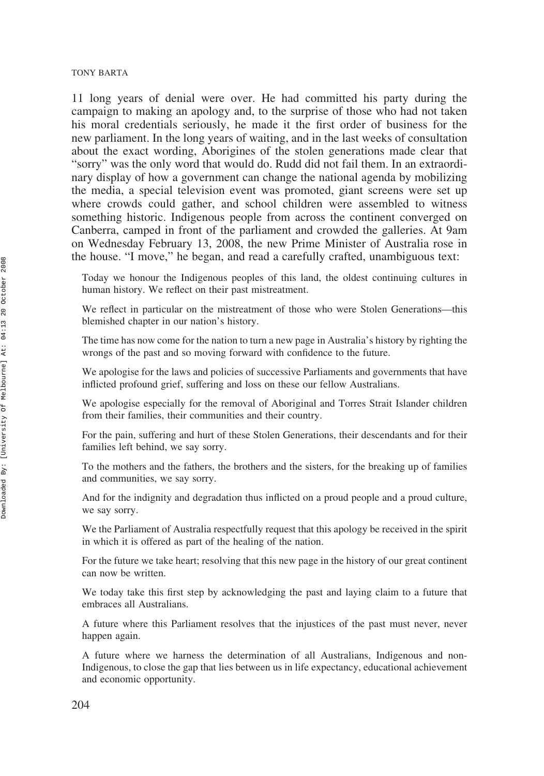TONY BARTA

11 long years of denial were over. He had committed his party during the campaign to making an apology and, to the surprise of those who had not taken his moral credentials seriously, he made it the first order of business for the new parliament. In the long years of waiting, and in the last weeks of consultation about the exact wording, Aborigines of the stolen generations made clear that "sorry" was the only word that would do. Rudd did not fail them. In an extraordinary display of how a government can change the national agenda by mobilizing the media, a special television event was promoted, giant screens were set up where crowds could gather, and school children were assembled to witness something historic. Indigenous people from across the continent converged on Canberra, camped in front of the parliament and crowded the galleries. At 9am on Wednesday February 13, 2008, the new Prime Minister of Australia rose in the house. "I move," he began, and read a carefully crafted, unambiguous text:

Today we honour the Indigenous peoples of this land, the oldest continuing cultures in human history. We reflect on their past mistreatment.

We reflect in particular on the mistreatment of those who were Stolen Generations—this blemished chapter in our nation's history.

The time has now come for the nation to turn a new page in Australia's history by righting the wrongs of the past and so moving forward with confidence to the future.

We apologise for the laws and policies of successive Parliaments and governments that have inflicted profound grief, suffering and loss on these our fellow Australians.

We apologise especially for the removal of Aboriginal and Torres Strait Islander children from their families, their communities and their country.

For the pain, suffering and hurt of these Stolen Generations, their descendants and for their families left behind, we say sorry.

To the mothers and the fathers, the brothers and the sisters, for the breaking up of families and communities, we say sorry.

And for the indignity and degradation thus inflicted on a proud people and a proud culture, we say sorry.

We the Parliament of Australia respectfully request that this apology be received in the spirit in which it is offered as part of the healing of the nation.

For the future we take heart; resolving that this new page in the history of our great continent can now be written.

We today take this first step by acknowledging the past and laying claim to a future that embraces all Australians.

A future where this Parliament resolves that the injustices of the past must never, never happen again.

A future where we harness the determination of all Australians, Indigenous and non-Indigenous, to close the gap that lies between us in life expectancy, educational achievement and economic opportunity.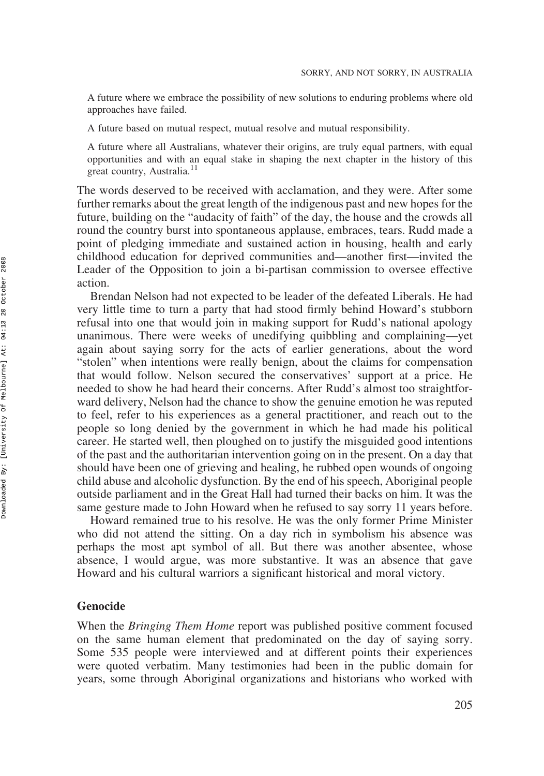A future where we embrace the possibility of new solutions to enduring problems where old approaches have failed.

A future based on mutual respect, mutual resolve and mutual responsibility.

A future where all Australians, whatever their origins, are truly equal partners, with equal opportunities and with an equal stake in shaping the next chapter in the history of this great country, Australia. $11$ 

The words deserved to be received with acclamation, and they were. After some further remarks about the great length of the indigenous past and new hopes for the future, building on the "audacity of faith" of the day, the house and the crowds all round the country burst into spontaneous applause, embraces, tears. Rudd made a point of pledging immediate and sustained action in housing, health and early childhood education for deprived communities and—another first—invited the Leader of the Opposition to join a bi-partisan commission to oversee effective action.

Brendan Nelson had not expected to be leader of the defeated Liberals. He had very little time to turn a party that had stood firmly behind Howard's stubborn refusal into one that would join in making support for Rudd's national apology unanimous. There were weeks of unedifying quibbling and complaining—yet again about saying sorry for the acts of earlier generations, about the word "stolen" when intentions were really benign, about the claims for compensation that would follow. Nelson secured the conservatives' support at a price. He needed to show he had heard their concerns. After Rudd's almost too straightforward delivery, Nelson had the chance to show the genuine emotion he was reputed to feel, refer to his experiences as a general practitioner, and reach out to the people so long denied by the government in which he had made his political career. He started well, then ploughed on to justify the misguided good intentions of the past and the authoritarian intervention going on in the present. On a day that should have been one of grieving and healing, he rubbed open wounds of ongoing child abuse and alcoholic dysfunction. By the end of his speech, Aboriginal people outside parliament and in the Great Hall had turned their backs on him. It was the same gesture made to John Howard when he refused to say sorry 11 years before.

Howard remained true to his resolve. He was the only former Prime Minister who did not attend the sitting. On a day rich in symbolism his absence was perhaps the most apt symbol of all. But there was another absentee, whose absence, I would argue, was more substantive. It was an absence that gave Howard and his cultural warriors a significant historical and moral victory.

### Genocide

When the *Bringing Them Home* report was published positive comment focused on the same human element that predominated on the day of saying sorry. Some 535 people were interviewed and at different points their experiences were quoted verbatim. Many testimonies had been in the public domain for years, some through Aboriginal organizations and historians who worked with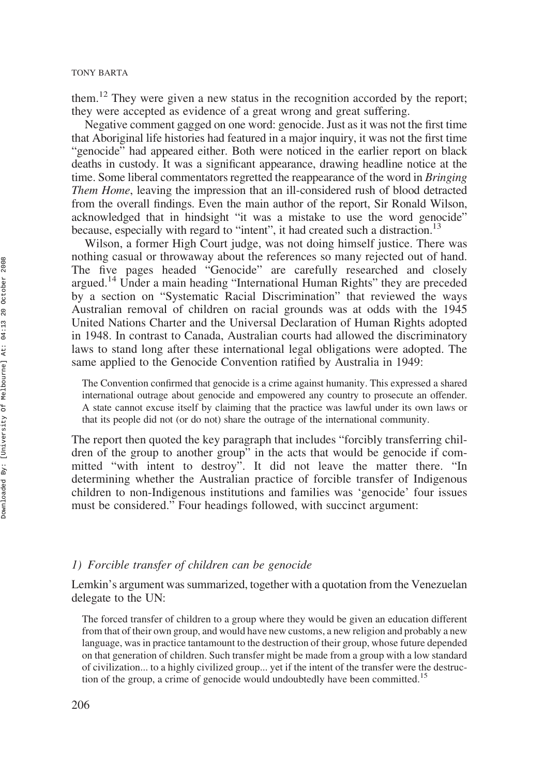them.12 They were given a new status in the recognition accorded by the report; they were accepted as evidence of a great wrong and great suffering.

Negative comment gagged on one word: genocide. Just as it was not the first time that Aboriginal life histories had featured in a major inquiry, it was not the first time "genocide" had appeared either. Both were noticed in the earlier report on black deaths in custody. It was a significant appearance, drawing headline notice at the time. Some liberal commentators regretted the reappearance of the word in Bringing Them Home, leaving the impression that an ill-considered rush of blood detracted from the overall findings. Even the main author of the report, Sir Ronald Wilson, acknowledged that in hindsight "it was a mistake to use the word genocide" because, especially with regard to "intent", it had created such a distraction.<sup>13</sup>

Wilson, a former High Court judge, was not doing himself justice. There was nothing casual or throwaway about the references so many rejected out of hand. The five pages headed "Genocide" are carefully researched and closely argued.14 Under a main heading "International Human Rights" they are preceded by a section on "Systematic Racial Discrimination" that reviewed the ways Australian removal of children on racial grounds was at odds with the 1945 United Nations Charter and the Universal Declaration of Human Rights adopted in 1948. In contrast to Canada, Australian courts had allowed the discriminatory laws to stand long after these international legal obligations were adopted. The same applied to the Genocide Convention ratified by Australia in 1949:

The Convention confirmed that genocide is a crime against humanity. This expressed a shared international outrage about genocide and empowered any country to prosecute an offender. A state cannot excuse itself by claiming that the practice was lawful under its own laws or that its people did not (or do not) share the outrage of the international community.

The report then quoted the key paragraph that includes "forcibly transferring children of the group to another group" in the acts that would be genocide if committed "with intent to destroy". It did not leave the matter there. "In determining whether the Australian practice of forcible transfer of Indigenous children to non-Indigenous institutions and families was 'genocide' four issues must be considered." Four headings followed, with succinct argument:

#### 1) Forcible transfer of children can be genocide

Lemkin's argument was summarized, together with a quotation from the Venezuelan delegate to the UN:

The forced transfer of children to a group where they would be given an education different from that of their own group, and would have new customs, a new religion and probably a new language, was in practice tantamount to the destruction of their group, whose future depended on that generation of children. Such transfer might be made from a group with a low standard of civilization... to a highly civilized group... yet if the intent of the transfer were the destruction of the group, a crime of genocide would undoubtedly have been committed.<sup>15</sup>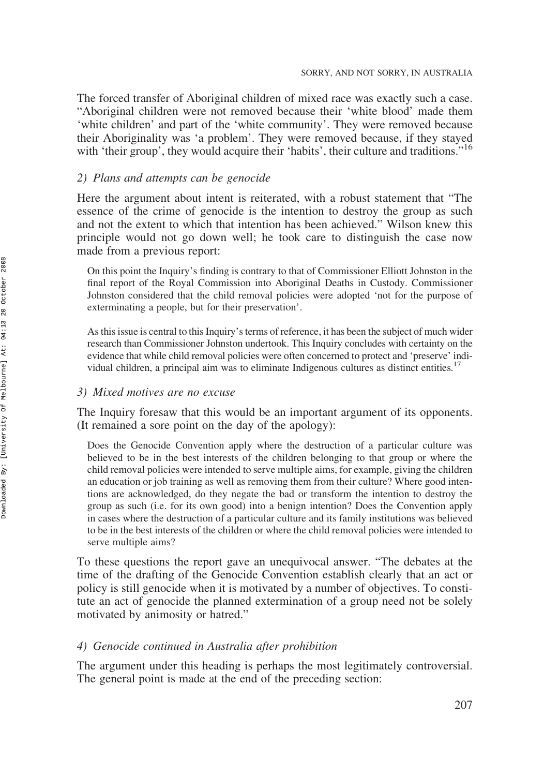The forced transfer of Aboriginal children of mixed race was exactly such a case. "Aboriginal children were not removed because their 'white blood' made them 'white children' and part of the 'white community'. They were removed because their Aboriginality was 'a problem'. They were removed because, if they stayed with 'their group', they would acquire their 'habits', their culture and traditions."<sup>16</sup>

#### 2) Plans and attempts can be genocide

Here the argument about intent is reiterated, with a robust statement that "The essence of the crime of genocide is the intention to destroy the group as such and not the extent to which that intention has been achieved." Wilson knew this principle would not go down well; he took care to distinguish the case now made from a previous report:

On this point the Inquiry's finding is contrary to that of Commissioner Elliott Johnston in the final report of the Royal Commission into Aboriginal Deaths in Custody. Commissioner Johnston considered that the child removal policies were adopted 'not for the purpose of exterminating a people, but for their preservation'.

As this issue is central to this Inquiry's terms of reference, it has been the subject of much wider research than Commissioner Johnston undertook. This Inquiry concludes with certainty on the evidence that while child removal policies were often concerned to protect and 'preserve' individual children, a principal aim was to eliminate Indigenous cultures as distinct entities.<sup>17</sup>

#### 3) Mixed motives are no excuse

The Inquiry foresaw that this would be an important argument of its opponents. (It remained a sore point on the day of the apology):

Does the Genocide Convention apply where the destruction of a particular culture was believed to be in the best interests of the children belonging to that group or where the child removal policies were intended to serve multiple aims, for example, giving the children an education or job training as well as removing them from their culture? Where good intentions are acknowledged, do they negate the bad or transform the intention to destroy the group as such (i.e. for its own good) into a benign intention? Does the Convention apply in cases where the destruction of a particular culture and its family institutions was believed to be in the best interests of the children or where the child removal policies were intended to serve multiple aims?

To these questions the report gave an unequivocal answer. "The debates at the time of the drafting of the Genocide Convention establish clearly that an act or policy is still genocide when it is motivated by a number of objectives. To constitute an act of genocide the planned extermination of a group need not be solely motivated by animosity or hatred."

### 4) Genocide continued in Australia after prohibition

The argument under this heading is perhaps the most legitimately controversial. The general point is made at the end of the preceding section: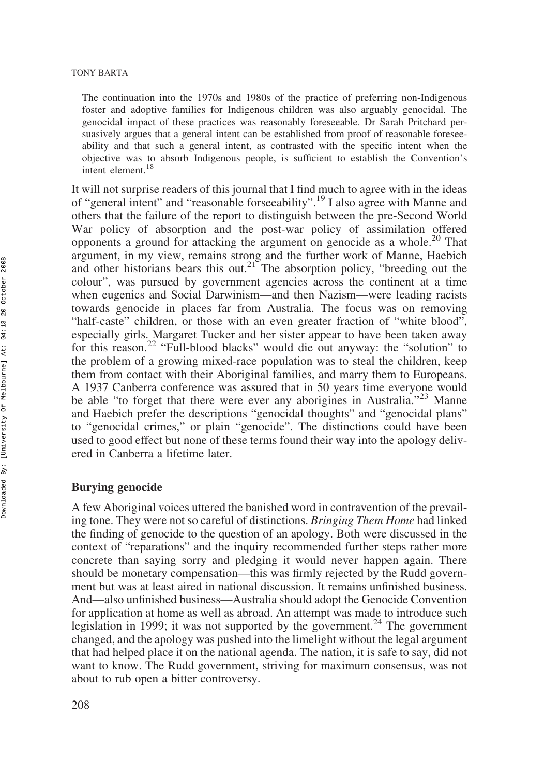The continuation into the 1970s and 1980s of the practice of preferring non-Indigenous foster and adoptive families for Indigenous children was also arguably genocidal. The genocidal impact of these practices was reasonably foreseeable. Dr Sarah Pritchard persuasively argues that a general intent can be established from proof of reasonable foreseeability and that such a general intent, as contrasted with the specific intent when the objective was to absorb Indigenous people, is sufficient to establish the Convention's intent element.<sup>18</sup>

It will not surprise readers of this journal that I find much to agree with in the ideas of "general intent" and "reasonable forseeability".<sup>19</sup> I also agree with Manne and others that the failure of the report to distinguish between the pre-Second World War policy of absorption and the post-war policy of assimilation offered opponents a ground for attacking the argument on genocide as a whole.<sup>20</sup> That argument, in my view, remains strong and the further work of Manne, Haebich and other historians bears this out. $21^{\circ}$  The absorption policy, "breeding out the colour", was pursued by government agencies across the continent at a time when eugenics and Social Darwinism—and then Nazism—were leading racists towards genocide in places far from Australia. The focus was on removing "half-caste" children, or those with an even greater fraction of "white blood", especially girls. Margaret Tucker and her sister appear to have been taken away for this reason.22 "Full-blood blacks" would die out anyway: the "solution" to the problem of a growing mixed-race population was to steal the children, keep them from contact with their Aboriginal families, and marry them to Europeans. A 1937 Canberra conference was assured that in 50 years time everyone would be able "to forget that there were ever any aborigines in Australia."<sup>23</sup> Manne and Haebich prefer the descriptions "genocidal thoughts" and "genocidal plans" to "genocidal crimes," or plain "genocide". The distinctions could have been used to good effect but none of these terms found their way into the apology delivered in Canberra a lifetime later.

#### Burying genocide

A few Aboriginal voices uttered the banished word in contravention of the prevailing tone. They were not so careful of distinctions. Bringing Them Home had linked the finding of genocide to the question of an apology. Both were discussed in the context of "reparations" and the inquiry recommended further steps rather more concrete than saying sorry and pledging it would never happen again. There should be monetary compensation—this was firmly rejected by the Rudd government but was at least aired in national discussion. It remains unfinished business. And—also unfinished business—Australia should adopt the Genocide Convention for application at home as well as abroad. An attempt was made to introduce such legislation in 1999; it was not supported by the government.<sup>24</sup> The government changed, and the apology was pushed into the limelight without the legal argument that had helped place it on the national agenda. The nation, it is safe to say, did not want to know. The Rudd government, striving for maximum consensus, was not about to rub open a bitter controversy.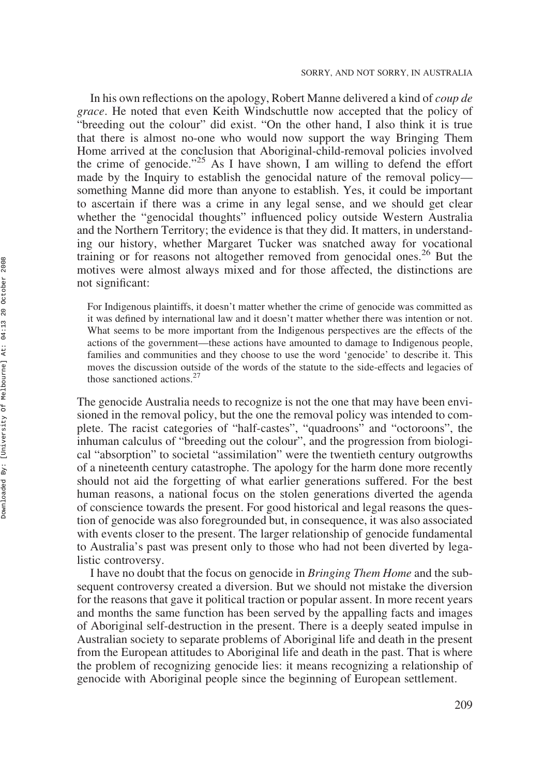In his own reflections on the apology, Robert Manne delivered a kind of coup de grace. He noted that even Keith Windschuttle now accepted that the policy of "breeding out the colour" did exist. "On the other hand, I also think it is true that there is almost no-one who would now support the way Bringing Them Home arrived at the conclusion that Aboriginal-child-removal policies involved the crime of genocide."<sup>25</sup> As I have shown, I am willing to defend the effort made by the Inquiry to establish the genocidal nature of the removal policy something Manne did more than anyone to establish. Yes, it could be important to ascertain if there was a crime in any legal sense, and we should get clear whether the "genocidal thoughts" influenced policy outside Western Australia and the Northern Territory; the evidence is that they did. It matters, in understanding our history, whether Margaret Tucker was snatched away for vocational training or for reasons not altogether removed from genocidal ones.<sup>26</sup> But the motives were almost always mixed and for those affected, the distinctions are not significant:

For Indigenous plaintiffs, it doesn't matter whether the crime of genocide was committed as it was defined by international law and it doesn't matter whether there was intention or not. What seems to be more important from the Indigenous perspectives are the effects of the actions of the government—these actions have amounted to damage to Indigenous people, families and communities and they choose to use the word 'genocide' to describe it. This moves the discussion outside of the words of the statute to the side-effects and legacies of those sanctioned actions.<sup>27</sup>

The genocide Australia needs to recognize is not the one that may have been envisioned in the removal policy, but the one the removal policy was intended to complete. The racist categories of "half-castes", "quadroons" and "octoroons", the inhuman calculus of "breeding out the colour", and the progression from biological "absorption" to societal "assimilation" were the twentieth century outgrowths of a nineteenth century catastrophe. The apology for the harm done more recently should not aid the forgetting of what earlier generations suffered. For the best human reasons, a national focus on the stolen generations diverted the agenda of conscience towards the present. For good historical and legal reasons the question of genocide was also foregrounded but, in consequence, it was also associated with events closer to the present. The larger relationship of genocide fundamental to Australia's past was present only to those who had not been diverted by legalistic controversy.

I have no doubt that the focus on genocide in Bringing Them Home and the subsequent controversy created a diversion. But we should not mistake the diversion for the reasons that gave it political traction or popular assent. In more recent years and months the same function has been served by the appalling facts and images of Aboriginal self-destruction in the present. There is a deeply seated impulse in Australian society to separate problems of Aboriginal life and death in the present from the European attitudes to Aboriginal life and death in the past. That is where the problem of recognizing genocide lies: it means recognizing a relationship of genocide with Aboriginal people since the beginning of European settlement.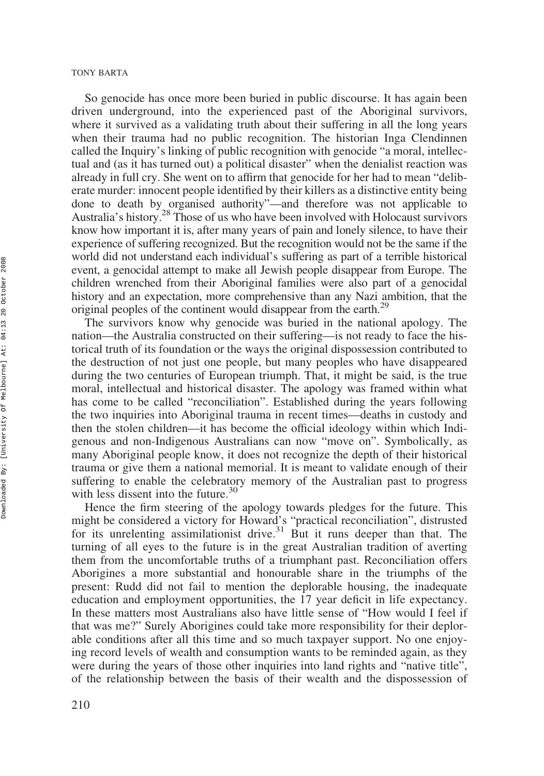TONY BARTA

So genocide has once more been buried in public discourse. It has again been driven underground, into the experienced past of the Aboriginal survivors, where it survived as a validating truth about their suffering in all the long years when their trauma had no public recognition. The historian Inga Clendinnen called the Inquiry's linking of public recognition with genocide "a moral, intellectual and (as it has turned out) a political disaster" when the denialist reaction was already in full cry. She went on to affirm that genocide for her had to mean "deliberate murder: innocent people identified by their killers as a distinctive entity being done to death by organised authority"—and therefore was not applicable to Australia's history.28 Those of us who have been involved with Holocaust survivors know how important it is, after many years of pain and lonely silence, to have their experience of suffering recognized. But the recognition would not be the same if the world did not understand each individual's suffering as part of a terrible historical event, a genocidal attempt to make all Jewish people disappear from Europe. The children wrenched from their Aboriginal families were also part of a genocidal history and an expectation, more comprehensive than any Nazi ambition, that the original peoples of the continent would disappear from the earth.<sup>29</sup>

The survivors know why genocide was buried in the national apology. The nation—the Australia constructed on their suffering—is not ready to face the historical truth of its foundation or the ways the original dispossession contributed to the destruction of not just one people, but many peoples who have disappeared during the two centuries of European triumph. That, it might be said, is the true moral, intellectual and historical disaster. The apology was framed within what has come to be called "reconciliation". Established during the years following the two inquiries into Aboriginal trauma in recent times—deaths in custody and then the stolen children—it has become the official ideology within which Indigenous and non-Indigenous Australians can now "move on". Symbolically, as many Aboriginal people know, it does not recognize the depth of their historical trauma or give them a national memorial. It is meant to validate enough of their suffering to enable the celebratory memory of the Australian past to progress with less dissent into the future.<sup>30</sup>

Hence the firm steering of the apology towards pledges for the future. This might be considered a victory for Howard's "practical reconciliation", distrusted for its unrelenting assimilationist drive.<sup>31</sup> But it runs deeper than that. The turning of all eyes to the future is in the great Australian tradition of averting them from the uncomfortable truths of a triumphant past. Reconciliation offers Aborigines a more substantial and honourable share in the triumphs of the present: Rudd did not fail to mention the deplorable housing, the inadequate education and employment opportunities, the 17 year deficit in life expectancy. In these matters most Australians also have little sense of "How would I feel if that was me?" Surely Aborigines could take more responsibility for their deplorable conditions after all this time and so much taxpayer support. No one enjoying record levels of wealth and consumption wants to be reminded again, as they were during the years of those other inquiries into land rights and "native title", of the relationship between the basis of their wealth and the dispossession of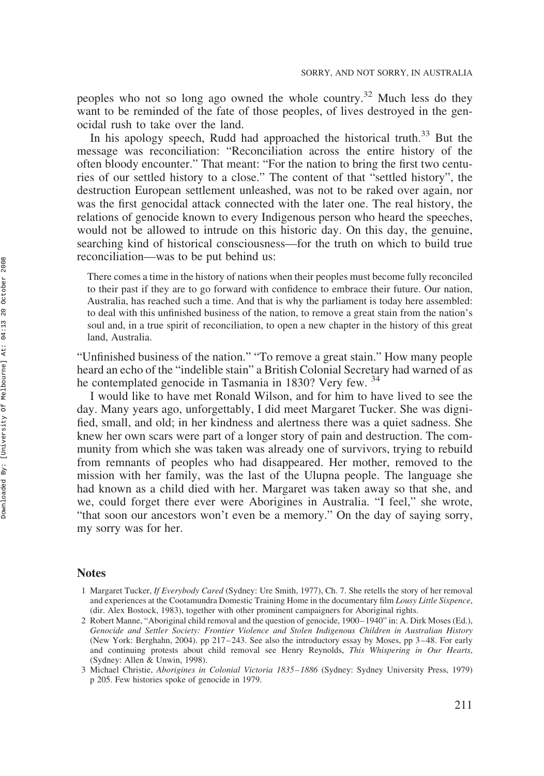peoples who not so long ago owned the whole country.<sup>32</sup> Much less do they want to be reminded of the fate of those peoples, of lives destroyed in the genocidal rush to take over the land.

In his apology speech. Rudd had approached the historical truth.<sup>33</sup> But the message was reconciliation: "Reconciliation across the entire history of the often bloody encounter." That meant: "For the nation to bring the first two centuries of our settled history to a close." The content of that "settled history", the destruction European settlement unleashed, was not to be raked over again, nor was the first genocidal attack connected with the later one. The real history, the relations of genocide known to every Indigenous person who heard the speeches, would not be allowed to intrude on this historic day. On this day, the genuine, searching kind of historical consciousness—for the truth on which to build true reconciliation—was to be put behind us:

There comes a time in the history of nations when their peoples must become fully reconciled to their past if they are to go forward with confidence to embrace their future. Our nation, Australia, has reached such a time. And that is why the parliament is today here assembled: to deal with this unfinished business of the nation, to remove a great stain from the nation's soul and, in a true spirit of reconciliation, to open a new chapter in the history of this great land, Australia.

"Unfinished business of the nation." "To remove a great stain." How many people heard an echo of the "indelible stain" a British Colonial Secretary had warned of as he contemplated genocide in Tasmania in 1830? Very few. <sup>34</sup>

I would like to have met Ronald Wilson, and for him to have lived to see the day. Many years ago, unforgettably, I did meet Margaret Tucker. She was dignified, small, and old; in her kindness and alertness there was a quiet sadness. She knew her own scars were part of a longer story of pain and destruction. The community from which she was taken was already one of survivors, trying to rebuild from remnants of peoples who had disappeared. Her mother, removed to the mission with her family, was the last of the Ulupna people. The language she had known as a child died with her. Margaret was taken away so that she, and we, could forget there ever were Aborigines in Australia. "I feel," she wrote, "that soon our ancestors won't even be a memory." On the day of saying sorry, my sorry was for her.

#### Notes

<sup>1</sup> Margaret Tucker, If Everybody Cared (Sydney: Ure Smith, 1977), Ch. 7. She retells the story of her removal and experiences at the Cootamundra Domestic Training Home in the documentary film Lousy Little Sixpence, (dir. Alex Bostock, 1983), together with other prominent campaigners for Aboriginal rights.

<sup>2</sup> Robert Manne, "Aboriginal child removal and the question of genocide, 1900–1940" in: A. Dirk Moses (Ed.), Genocide and Settler Society: Frontier Violence and Stolen Indigenous Children in Australian History (New York: Berghahn, 2004). pp 217 –243. See also the introductory essay by Moses, pp 3–48. For early and continuing protests about child removal see Henry Reynolds, This Whispering in Our Hearts, (Sydney: Allen & Unwin, 1998).

<sup>3</sup> Michael Christie, Aborigines in Colonial Victoria 1835–1886 (Sydney: Sydney University Press, 1979) p 205. Few histories spoke of genocide in 1979.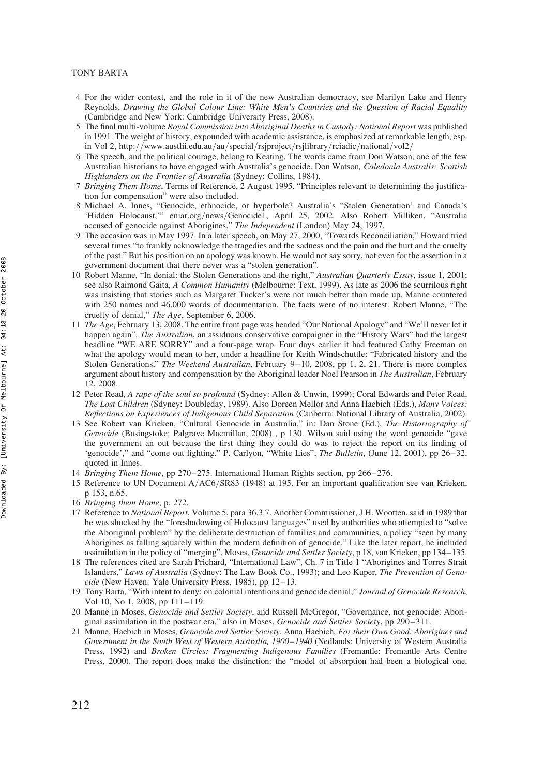- 4 For the wider context, and the role in it of the new Australian democracy, see Marilyn Lake and Henry Reynolds, Drawing the Global Colour Line: White Men's Countries and the Question of Racial Equality (Cambridge and New York: Cambridge University Press, 2008).
- 5 The final multi-volume Royal Commission into Aboriginal Deaths in Custody: National Report was published in 1991. The weight of history, expounded with academic assistance, is emphasized at remarkable length, esp. in Vol 2, http://www.austlii.edu.au/au/special/rsjproject/rsjlibrary/rciadic/national/vol2/
- 6 The speech, and the political courage, belong to Keating. The words came from Don Watson, one of the few Australian historians to have engaged with Australia's genocide. Don Watson, Caledonia Australis: Scottish Highlanders on the Frontier of Australia (Sydney: Collins, 1984).
- 7 Bringing Them Home, Terms of Reference, 2 August 1995. "Principles relevant to determining the justification for compensation" were also included.
- 8 Michael A. Innes, "Genocide, ethnocide, or hyperbole? Australia's "Stolen Generation' and Canada's 'Hidden Holocaust,'" eniar.org/news/Genocide1, April 25, 2002. Also Robert Milliken, "Australia accused of genocide against Aborigines," The Independent (London) May 24, 1997.
- 9 The occasion was in May 1997. In a later speech, on May 27, 2000, "Towards Reconciliation," Howard tried several times "to frankly acknowledge the tragedies and the sadness and the pain and the hurt and the cruelty of the past." But his position on an apology was known. He would not say sorry, not even for the assertion in a government document that there never was a "stolen generation".
- 10 Robert Manne, "In denial: the Stolen Generations and the right," Australian Quarterly Essay, issue 1, 2001; see also Raimond Gaita, A Common Humanity (Melbourne: Text, 1999). As late as 2006 the scurrilous right was insisting that stories such as Margaret Tucker's were not much better than made up. Manne countered with 250 names and 46,000 words of documentation. The facts were of no interest. Robert Manne, "The cruelty of denial," The Age, September 6, 2006.
- 11 The Age, February 13, 2008. The entire front page was headed "Our National Apology" and "We'll never let it happen again". The Australian, an assiduous conservative campaigner in the "History Wars" had the largest headline "WE ARE SORRY" and a four-page wrap. Four days earlier it had featured Cathy Freeman on what the apology would mean to her, under a headline for Keith Windschuttle: "Fabricated history and the Stolen Generations," The Weekend Australian, February 9–10, 2008, pp 1, 2, 21. There is more complex argument about history and compensation by the Aboriginal leader Noel Pearson in The Australian, February 12, 2008.
- 12 Peter Read, A rape of the soul so profound (Sydney: Allen & Unwin, 1999); Coral Edwards and Peter Read, The Lost Children (Sdyney: Doubleday, 1989). Also Doreen Mellor and Anna Haebich (Eds.), Many Voices: Reflections on Experiences of Indigenous Child Separation (Canberra: National Library of Australia, 2002).
- 13 See Robert van Krieken, "Cultural Genocide in Australia," in: Dan Stone (Ed.), The Historiography of Genocide (Basingstoke: Palgrave Macmillan, 2008) , p 130. Wilson said using the word genocide "gave the government an out because the first thing they could do was to reject the report on its finding of 'genocide'," and "come out fighting." P. Carlyon, "White Lies", The Bulletin, (June 12, 2001), pp 26-32, quoted in Innes.
- 14 Bringing Them Home, pp 270–275. International Human Rights section, pp 266–276.
- 15 Reference to UN Document A/AC6/SR83 (1948) at 195. For an important qualification see van Krieken, p 153, n.65.
- 16 Bringing them Home, p. 272.
- 17 Reference to National Report, Volume 5, para 36.3.7. Another Commissioner, J.H. Wootten, said in 1989 that he was shocked by the "foreshadowing of Holocaust languages" used by authorities who attempted to "solve the Aboriginal problem" by the deliberate destruction of families and communities, a policy "seen by many Aborigines as falling squarely within the modern definition of genocide." Like the later report, he included assimilation in the policy of "merging". Moses, *Genocide and Settler Society*, p 18, van Krieken, pp 134–135.
- 18 The references cited are Sarah Prichard, "International Law", Ch. 7 in Title 1 "Aborigines and Torres Strait Islanders," Laws of Australia (Sydney: The Law Book Co., 1993); and Leo Kuper, The Prevention of Genocide (New Haven: Yale University Press, 1985), pp 12–13.
- 19 Tony Barta, "With intent to deny: on colonial intentions and genocide denial," Journal of Genocide Research, Vol 10, No 1, 2008, pp 111– 119.
- 20 Manne in Moses, Genocide and Settler Society, and Russell McGregor, "Governance, not genocide: Aboriginal assimilation in the postwar era," also in Moses, *Genocide and Settler Society*, pp 290–311.
- 21 Manne, Haebich in Moses, Genocide and Settler Society. Anna Haebich, For their Own Good: Aborigines and Government in the South West of Western Australia, 1900–1940 (Nedlands: University of Western Australia Press, 1992) and Broken Circles: Fragmenting Indigenous Families (Fremantle: Fremantle Arts Centre Press, 2000). The report does make the distinction: the "model of absorption had been a biological one,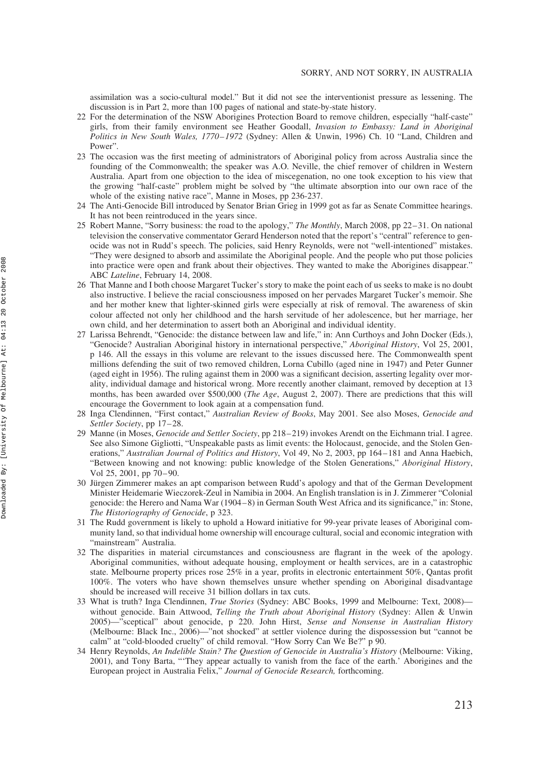assimilation was a socio-cultural model." But it did not see the interventionist pressure as lessening. The discussion is in Part 2, more than 100 pages of national and state-by-state history.

- 22 For the determination of the NSW Aborigines Protection Board to remove children, especially "half-caste" girls, from their family environment see Heather Goodall, Invasion to Embassy: Land in Aboriginal Politics in New South Wales, 1770–1972 (Sydney: Allen & Unwin, 1996) Ch. 10 "Land, Children and Power".
- 23 The occasion was the first meeting of administrators of Aboriginal policy from across Australia since the founding of the Commonwealth; the speaker was A.O. Neville, the chief remover of children in Western Australia. Apart from one objection to the idea of miscegenation, no one took exception to his view that the growing "half-caste" problem might be solved by "the ultimate absorption into our own race of the whole of the existing native race", Manne in Moses, pp 236-237.
- 24 The Anti-Genocide Bill introduced by Senator Brian Grieg in 1999 got as far as Senate Committee hearings. It has not been reintroduced in the years since.
- 25 Robert Manne, "Sorry business: the road to the apology," The Monthly, March 2008, pp 22–31. On national television the conservative commentator Gerard Henderson noted that the report's "central" reference to genocide was not in Rudd's speech. The policies, said Henry Reynolds, were not "well-intentioned" mistakes. "They were designed to absorb and assimilate the Aboriginal people. And the people who put those policies into practice were open and frank about their objectives. They wanted to make the Aborigines disappear." ABC Lateline, February 14, 2008.
- 26 That Manne and I both choose Margaret Tucker's story to make the point each of us seeks to make is no doubt also instructive. I believe the racial consciousness imposed on her pervades Margaret Tucker's memoir. She and her mother knew that lighter-skinned girls were especially at risk of removal. The awareness of skin colour affected not only her childhood and the harsh servitude of her adolescence, but her marriage, her own child, and her determination to assert both an Aboriginal and individual identity.
- 27 Larissa Behrendt, "Genocide: the distance between law and life," in: Ann Curthoys and John Docker (Eds.), "Genocide? Australian Aboriginal history in international perspective," Aboriginal History, Vol 25, 2001, p 146. All the essays in this volume are relevant to the issues discussed here. The Commonwealth spent millions defending the suit of two removed children, Lorna Cubillo (aged nine in 1947) and Peter Gunner (aged eight in 1956). The ruling against them in 2000 was a significant decision, asserting legality over morality, individual damage and historical wrong. More recently another claimant, removed by deception at 13 months, has been awarded over \$500,000 (The Age, August 2, 2007). There are predictions that this will encourage the Government to look again at a compensation fund.
- 28 Inga Clendinnen, "First contact," Australian Review of Books, May 2001. See also Moses, Genocide and Settler Society, pp 17–28.
- 29 Manne (in Moses, Genocide and Settler Society, pp 218–219) invokes Arendt on the Eichmann trial. I agree. See also Simone Gigliotti, "Unspeakable pasts as limit events: the Holocaust, genocide, and the Stolen Generations," Australian Journal of Politics and History, Vol 49, No 2, 2003, pp 164-181 and Anna Haebich, "Between knowing and not knowing: public knowledge of the Stolen Generations," Aboriginal History, Vol 25, 2001, pp 70–90.
- 30 Jürgen Zimmerer makes an apt comparison between Rudd's apology and that of the German Development Minister Heidemarie Wieczorek-Zeul in Namibia in 2004. An English translation is in J. Zimmerer "Colonial genocide: the Herero and Nama War (1904–8) in German South West Africa and its significance," in: Stone, The Historiography of Genocide, p 323.
- 31 The Rudd government is likely to uphold a Howard initiative for 99-year private leases of Aboriginal community land, so that individual home ownership will encourage cultural, social and economic integration with "mainstream" Australia.
- 32 The disparities in material circumstances and consciousness are flagrant in the week of the apology. Aboriginal communities, without adequate housing, employment or health services, are in a catastrophic state. Melbourne property prices rose 25% in a year, profits in electronic entertainment 50%, Qantas profit 100%. The voters who have shown themselves unsure whether spending on Aboriginal disadvantage should be increased will receive 31 billion dollars in tax cuts.
- 33 What is truth? Inga Clendinnen, True Stories (Sydney: ABC Books, 1999 and Melbourne: Text, 2008) without genocide. Bain Attwood, Telling the Truth about Aboriginal History (Sydney: Allen & Unwin 2005)—"sceptical" about genocide, p 220. John Hirst, Sense and Nonsense in Australian History (Melbourne: Black Inc., 2006)—"not shocked" at settler violence during the dispossession but "cannot be calm" at "cold-blooded cruelty" of child removal. "How Sorry Can We Be?" p 90.
- 34 Henry Reynolds, An Indelible Stain? The Question of Genocide in Australia's History (Melbourne: Viking, 2001), and Tony Barta, "'They appear actually to vanish from the face of the earth.' Aborigines and the European project in Australia Felix," Journal of Genocide Research, forthcoming.